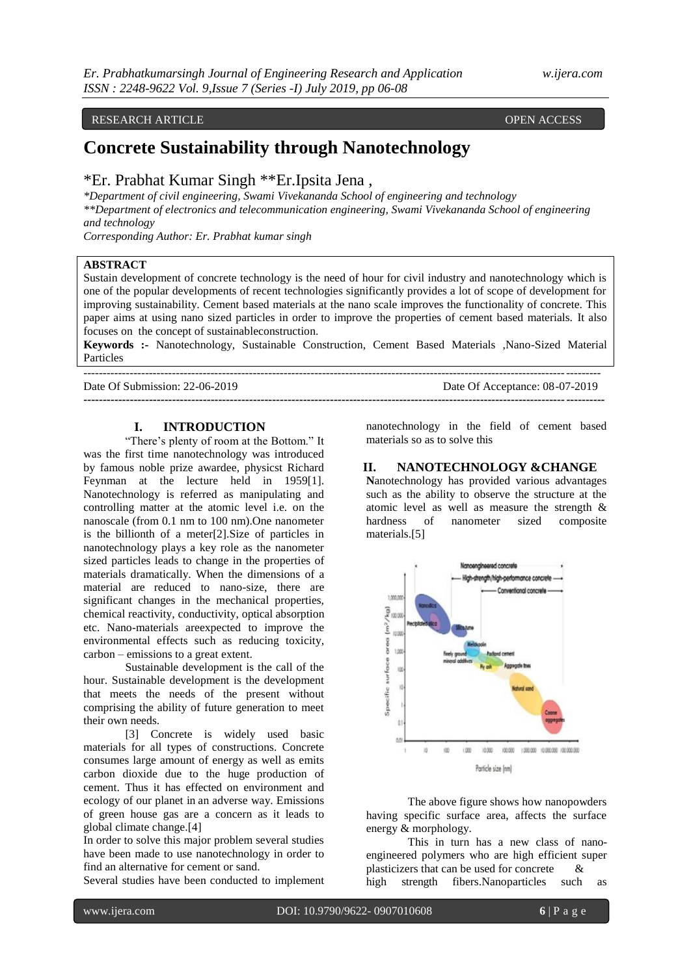#### RESEARCH ARTICLE **CONSERVERS** OPEN ACCESS OPEN ACCESS

# **Concrete Sustainability through Nanotechnology**

# \*Er. Prabhat Kumar Singh \*\*Er.Ipsita Jena ,

*\*Department of civil engineering, Swami Vivekananda School of engineering and technology \*\*Department of electronics and telecommunication engineering, Swami Vivekananda School of engineering and technology*

*Corresponding Author: Er. Prabhat kumar singh*

#### **ABSTRACT**

Sustain development of concrete technology is the need of hour for civil industry and nanotechnology which is one of the popular developments of recent technologies significantly provides a lot of scope of development for improving sustainability. Cement based materials at the nano scale improves the functionality of concrete. This paper aims at using nano sized particles in order to improve the properties of cement based materials. It also focuses on the concept of sustainableconstruction.

**Keywords :-** Nanotechnology, Sustainable Construction, Cement Based Materials ,Nano-Sized Material Particles

**---------------------------------------------------------------------------------------------------------------------------------------**

-------------------------------------------------------------------------------------------------------------------------------------- Date Of Submission: 22-06-2019

| Date Of Acceptance: 08-07-2019 |  |
|--------------------------------|--|
|--------------------------------|--|

#### **I. INTRODUCTION**

"There's plenty of room at the Bottom." It was the first time nanotechnology was introduced by famous noble prize awardee, physicst Richard Feynman at the lecture held in 1959[1]. Nanotechnology is referred as manipulating and controlling matter at the atomic level i.e. on the nanoscale (from 0.1 nm to 100 nm).One nanometer is the billionth of a meter[2].Size of particles in nanotechnology plays a key role as the nanometer sized particles leads to change in the properties of materials dramatically. When the dimensions of a material are reduced to nano-size, there are significant changes in the mechanical properties, chemical reactivity, conductivity, optical absorption etc. Nano-materials areexpected to improve the environmental effects such as reducing toxicity, carbon – emissions to a great extent.

Sustainable development is the call of the hour. Sustainable development is the development that meets the needs of the present without comprising the ability of future generation to meet their own needs.

[3] Concrete is widely used basic materials for all types of constructions. Concrete consumes large amount of energy as well as emits carbon dioxide due to the huge production of cement. Thus it has effected on environment and ecology of our planet in an adverse way. Emissions of green house gas are a concern as it leads to global climate change.[4]

In order to solve this major problem several studies have been made to use nanotechnology in order to find an alternative for cement or sand.

Several studies have been conducted to implement

nanotechnology in the field of cement based materials so as to solve this

#### **II. NANOTECHNOLOGY &CHANGE**

**N**anotechnology has provided various advantages such as the ability to observe the structure at the atomic level as well as measure the strength & hardness of nanometer sized composite materials.[5]



The above figure shows how nanopowders having specific surface area, affects the surface energy & morphology.

This in turn has a new class of nanoengineered polymers who are high efficient super plasticizers that can be used for concrete & high strength fibers.Nanoparticles such as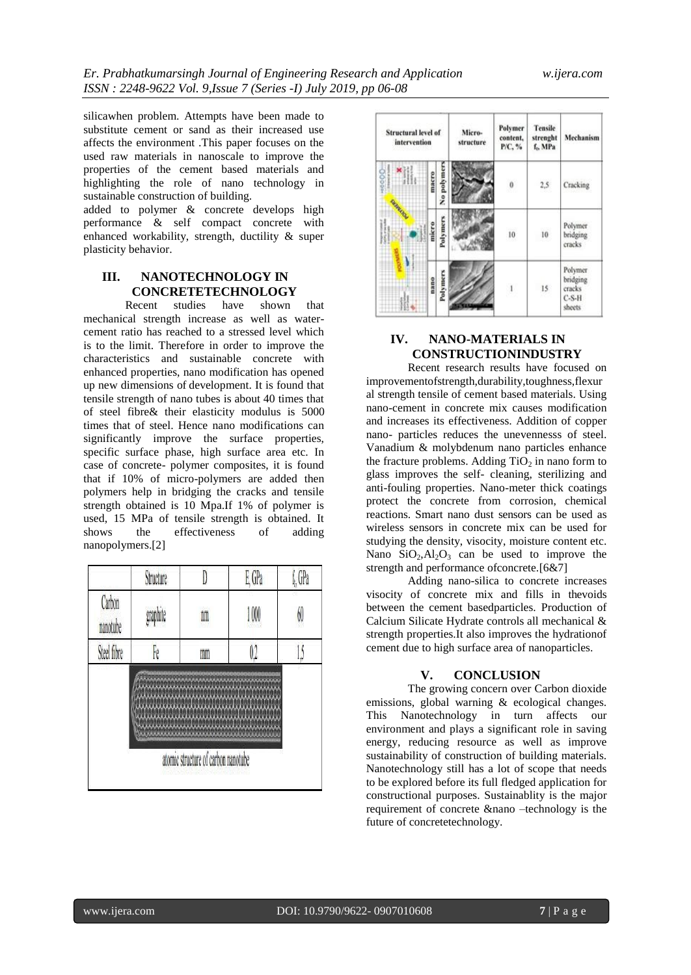silicawhen problem. Attempts have been made to substitute cement or sand as their increased use affects the environment .This paper focuses on the used raw materials in nanoscale to improve the properties of the cement based materials and highlighting the role of nano technology in sustainable construction of building.

added to polymer & concrete develops high performance & self compact concrete with enhanced workability, strength, ductility & super plasticity behavior.

## **III. NANOTECHNOLOGY IN CONCRETETECHNOLOGY**

Recent studies have shown that mechanical strength increase as well as watercement ratio has reached to a stressed level which is to the limit. Therefore in order to improve the characteristics and sustainable concrete with enhanced properties, nano modification has opened up new dimensions of development. It is found that tensile strength of nano tubes is about 40 times that of steel fibre& their elasticity modulus is 5000 times that of steel. Hence nano modifications can significantly improve the surface properties, specific surface phase, high surface area etc. In case of concrete- polymer composites, it is found that if 10% of micro-polymers are added then polymers help in bridging the cracks and tensile strength obtained is 10 Mpa.If 1% of polymer is used, 15 MPa of tensile strength is obtained. It shows the effectiveness of adding nanopolymers.[2]

|                    | Structure |                                     | E, GPa  |    |
|--------------------|-----------|-------------------------------------|---------|----|
| Carbon<br>nanotube | graphite  | nm                                  | 1000    | 60 |
| Steel fibre        | Fe        | mm                                  | $0.2\,$ |    |
|                    |           |                                     |         |    |
|                    |           | atomic structure of carbon nanotube |         |    |



# **IV. NANO-MATERIALS IN CONSTRUCTIONINDUSTRY**

Recent research results have focused on improvementofstrength,durability,toughness,flexur al strength tensile of cement based materials. Using nano-cement in concrete mix causes modification and increases its effectiveness. Addition of copper nano- particles reduces the unevennesss of steel. Vanadium & molybdenum nano particles enhance the fracture problems. Adding  $TiO<sub>2</sub>$  in nano form to glass improves the self- cleaning, sterilizing and anti-fouling properties. Nano-meter thick coatings protect the concrete from corrosion, chemical reactions. Smart nano dust sensors can be used as wireless sensors in concrete mix can be used for studying the density, visocity, moisture content etc. Nano  $SiO<sub>2</sub>, Al<sub>2</sub>O<sub>3</sub>$  can be used to improve the strength and performance ofconcrete.[6&7]

Adding nano-silica to concrete increases visocity of concrete mix and fills in thevoids between the cement basedparticles. Production of Calcium Silicate Hydrate controls all mechanical & strength properties.It also improves the hydrationof cement due to high surface area of nanoparticles.

### **V. CONCLUSION**

The growing concern over Carbon dioxide emissions, global warning & ecological changes. This Nanotechnology in turn affects our environment and plays a significant role in saving energy, reducing resource as well as improve sustainability of construction of building materials. Nanotechnology still has a lot of scope that needs to be explored before its full fledged application for constructional purposes. Sustainablity is the major requirement of concrete &nano –technology is the future of concretetechnology.